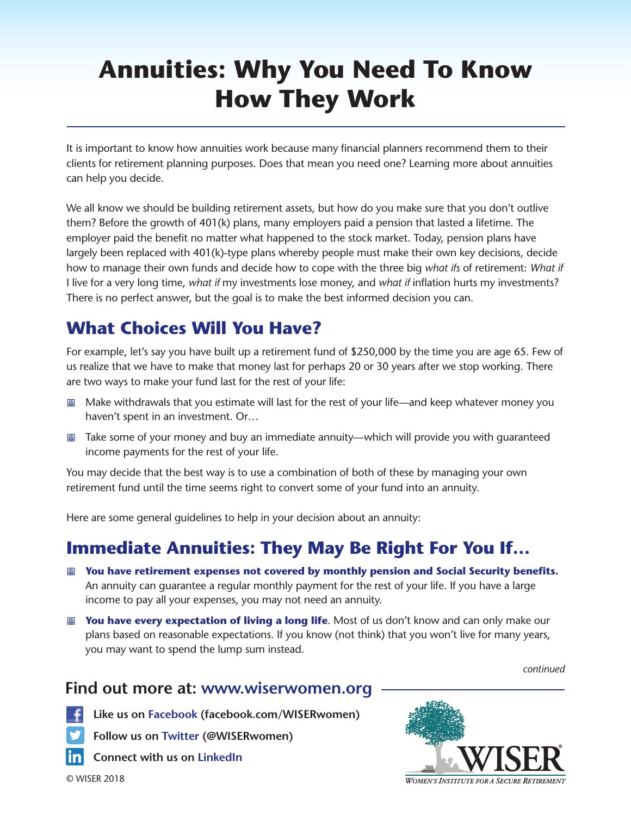# **Annuities: Why You Need To Know How They Work**

It is important to know how annuities work because many financial planners recommend them to their clients for retirement planning purposes. Does that mean you need one? Learning more about annuities can help you decide.

We all know we should be building retirement assets, but how do you make sure that you don't outlive them? Before the growth of 401(k) plans, many employers paid a pension that lasted a lifetime. The employer paid the benefit no matter what happened to the stock market. Today, pension plans have largely been replaced with 401(k)-type plans whereby people must make their own key decisions, decide how to manage their own funds and decide how to cope with the three big *what ifs* of retirement: *What if* I live for a very long time, *what if* my investments lose money, and *what if* inflation hurts my investments? There is no perfect answer, but the goal is to make the best informed decision you can.

## **What Choices Will You Have?**

For example, let's say you have built up a retirement fund of \$250,000 by the time you are age 65. Few of us realize that we have to make that money last for perhaps 20 or 30 years after we stop working. There are two ways to make your fund last for the rest of your life:

- 图 Make withdrawals that you estimate will last for the rest of your life—and keep whatever money you haven't spent in an investment. Or…
- 图 Take some of your money and buy an immediate annuity—which will provide you with quaranteed income payments for the rest of your life.

You may decide that the best way is to use a combination of both of these by managing your own retirement fund until the time seems right to convert some of your fund into an annuity.

Here are some general guidelines to help in your decision about an annuity:

#### **Immediate Annuities: They May Be Right For You If…**

- m **You have retirement expenses not covered by monthly pension and Social Security benefits.** An annuity can guarantee a regular monthly payment for the rest of your life. If you have a large income to pay all your expenses, you may not need an annuity.
- m **You have every expectation of living a long life**. Most of us don't know and can only make our plans based on reasonable expectations. If you know (not think) that you won't live for many years, you may want to spend the lump sum instead.

*continued*

#### **Find out more at: www.wiserwomen.org**

 **Like us on Facebook (facebook.com/WISERwomen)**

 **Follow us on Twitter (@WISERwomen)**

 **Connect with us on LinkedIn**

© WISER 2018

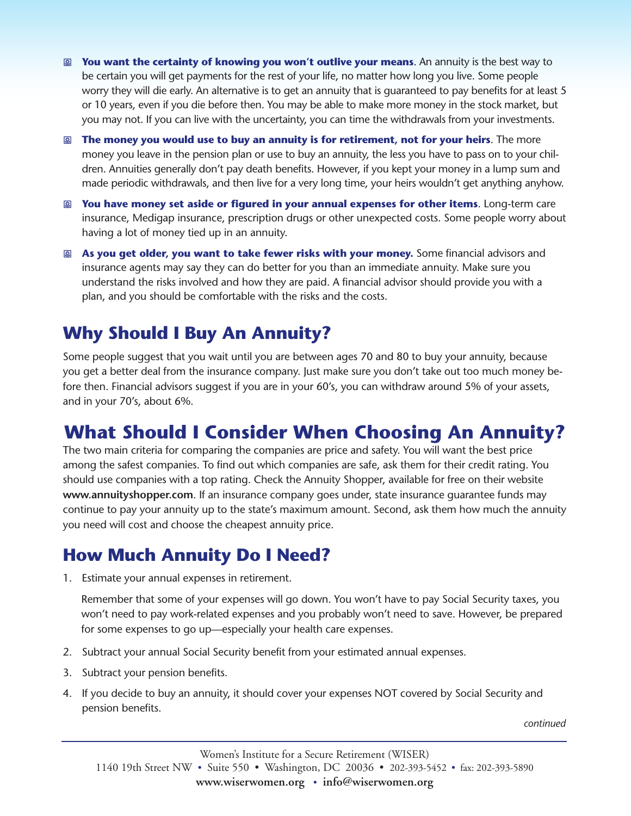- m **You want the certainty of knowing you won't outlive your means**. An annuity is the best way to be certain you will get payments for the rest of your life, no matter how long you live. Some people worry they will die early. An alternative is to get an annuity that is guaranteed to pay benefits for at least 5 or 10 years, even if you die before then. You may be able to make more money in the stock market, but you may not. If you can live with the uncertainty, you can time the withdrawals from your investments.
- m **The money you would use to buy an annuity is for retirement, not for your heirs**. The more money you leave in the pension plan or use to buy an annuity, the less you have to pass on to your children. Annuities generally don't pay death benefits. However, if you kept your money in a lump sum and made periodic withdrawals, and then live for a very long time, your heirs wouldn't get anything anyhow.
- m **You have money set aside or figured in your annual expenses for other items**. Long-term care insurance, Medigap insurance, prescription drugs or other unexpected costs. Some people worry about having a lot of money tied up in an annuity.
- m **As you get older, you want to take fewer risks with your money.** Some financial advisors and insurance agents may say they can do better for you than an immediate annuity. Make sure you understand the risks involved and how they are paid. A financial advisor should provide you with a plan, and you should be comfortable with the risks and the costs.

## **Why Should I Buy An Annuity?**

Some people suggest that you wait until you are between ages 70 and 80 to buy your annuity, because you get a better deal from the insurance company. Just make sure you don't take out too much money before then. Financial advisors suggest if you are in your 60's, you can withdraw around 5% of your assets, and in your 70's, about 6%.

## **What Should I Consider When Choosing An Annuity?**

The two main criteria for comparing the companies are price and safety. You will want the best price among the safest companies. To find out which companies are safe, ask them for their credit rating. You should use companies with a top rating. Check the Annuity Shopper, available for free on their website **www.annuityshopper.com**. If an insurance company goes under, state insurance guarantee funds may continue to pay your annuity up to the state's maximum amount. Second, ask them how much the annuity you need will cost and choose the cheapest annuity price.

#### **How Much Annuity Do I Need?**

1. Estimate your annual expenses in retirement.

Remember that some of your expenses will go down. You won't have to pay Social Security taxes, you won't need to pay work-related expenses and you probably won't need to save. However, be prepared for some expenses to go up—especially your health care expenses.

- 2. Subtract your annual Social Security benefit from your estimated annual expenses.
- 3. Subtract your pension benefits.
- 4. If you decide to buy an annuity, it should cover your expenses NOT covered by Social Security and pension benefits.

*continued*